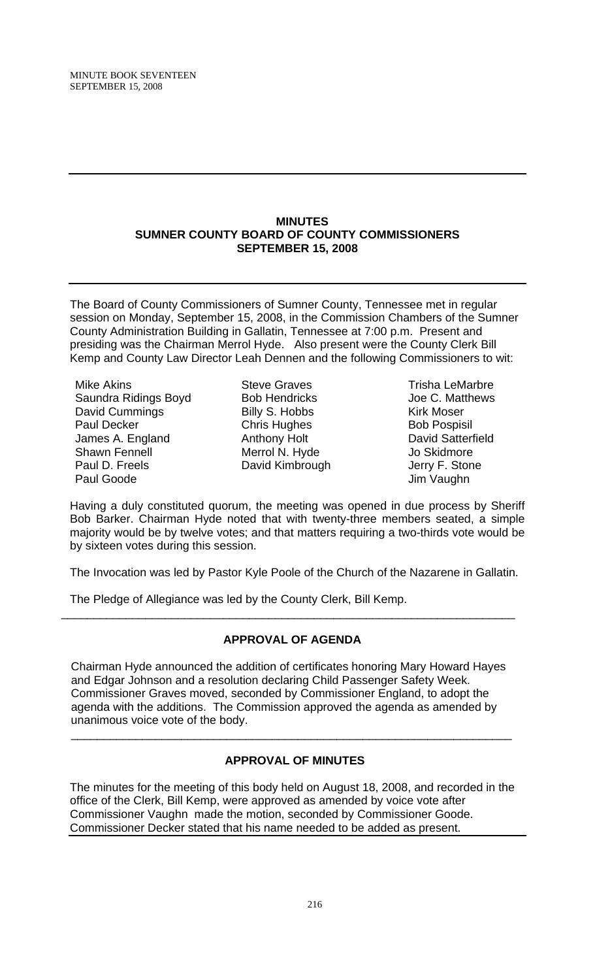#### **MINUTES SUMNER COUNTY BOARD OF COUNTY COMMISSIONERS SEPTEMBER 15, 2008**

The Board of County Commissioners of Sumner County, Tennessee met in regular session on Monday, September 15, 2008, in the Commission Chambers of the Sumner County Administration Building in Gallatin, Tennessee at 7:00 p.m. Present and presiding was the Chairman Merrol Hyde. Also present were the County Clerk Bill Kemp and County Law Director Leah Dennen and the following Commissioners to wit:

Mike Akins Saundra Ridings Boyd David Cummings Paul Decker James A. England Shawn Fennell Paul D. Freels Paul Goode

Steve Graves Bob Hendricks Billy S. Hobbs Chris Hughes Anthony Holt Merrol N. Hyde David Kimbrough

Trisha LeMarbre Joe C. Matthews Kirk Moser Bob Pospisil David Satterfield Jo Skidmore Jerry F. Stone Jim Vaughn

Having a duly constituted quorum, the meeting was opened in due process by Sheriff Bob Barker. Chairman Hyde noted that with twenty-three members seated, a simple majority would be by twelve votes; and that matters requiring a two-thirds vote would be by sixteen votes during this session.

The Invocation was led by Pastor Kyle Poole of the Church of the Nazarene in Gallatin.

The Pledge of Allegiance was led by the County Clerk, Bill Kemp.

# **APPROVAL OF AGENDA**

\_\_\_\_\_\_\_\_\_\_\_\_\_\_\_\_\_\_\_\_\_\_\_\_\_\_\_\_\_\_\_\_\_\_\_\_\_\_\_\_\_\_\_\_\_\_\_\_\_\_\_\_\_\_\_\_\_\_\_\_\_\_\_\_\_\_\_\_\_\_

Chairman Hyde announced the addition of certificates honoring Mary Howard Hayes and Edgar Johnson and a resolution declaring Child Passenger Safety Week. Commissioner Graves moved, seconded by Commissioner England, to adopt the agenda with the additions. The Commission approved the agenda as amended by unanimous voice vote of the body.

 $\overline{\phantom{a}}$  , and the contribution of the contribution of the contribution of the contribution of the contribution of  $\overline{\phantom{a}}$ 

# **APPROVAL OF MINUTES**

The minutes for the meeting of this body held on August 18, 2008, and recorded in the office of the Clerk, Bill Kemp, were approved as amended by voice vote after Commissioner Vaughn made the motion, seconded by Commissioner Goode. Commissioner Decker stated that his name needed to be added as present.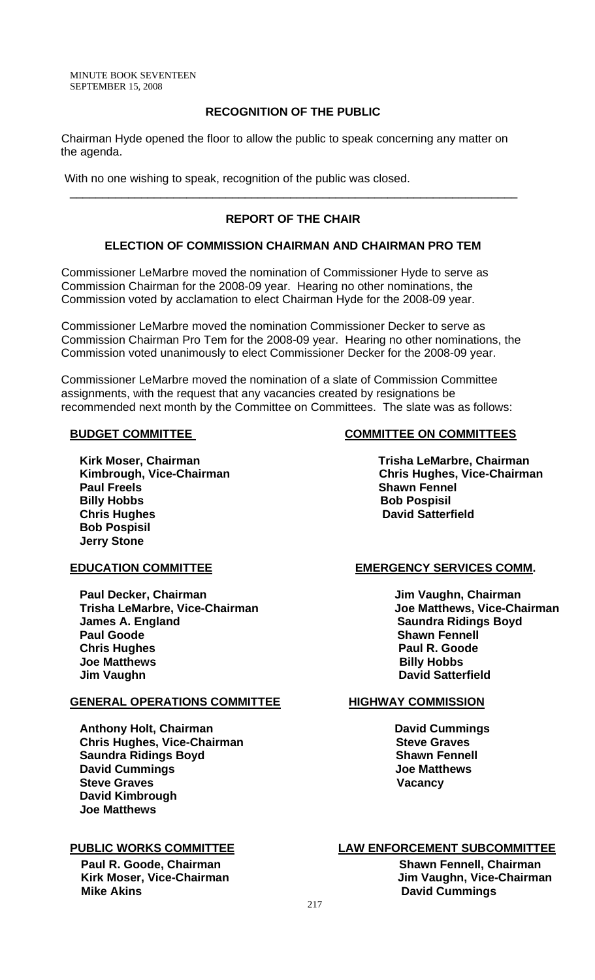MINUTE BOOK SEVENTEEN SEPTEMBER 15, 2008

## **RECOGNITION OF THE PUBLIC**

Chairman Hyde opened the floor to allow the public to speak concerning any matter on the agenda.

With no one wishing to speak, recognition of the public was closed.

# **REPORT OF THE CHAIR**

\_\_\_\_\_\_\_\_\_\_\_\_\_\_\_\_\_\_\_\_\_\_\_\_\_\_\_\_\_\_\_\_\_\_\_\_\_\_\_\_\_\_\_\_\_\_\_\_\_\_\_\_\_\_\_\_\_\_\_\_\_\_\_\_\_\_\_\_\_

## **ELECTION OF COMMISSION CHAIRMAN AND CHAIRMAN PRO TEM**

Commissioner LeMarbre moved the nomination of Commissioner Hyde to serve as Commission Chairman for the 2008-09 year. Hearing no other nominations, the Commission voted by acclamation to elect Chairman Hyde for the 2008-09 year.

Commissioner LeMarbre moved the nomination Commissioner Decker to serve as Commission Chairman Pro Tem for the 2008-09 year. Hearing no other nominations, the Commission voted unanimously to elect Commissioner Decker for the 2008-09 year.

Commissioner LeMarbre moved the nomination of a slate of Commission Committee assignments, with the request that any vacancies created by resignations be recommended next month by the Committee on Committees. The slate was as follows:

Kirk Moser, Chairman **Trisha LeMarbre, Chairman Paul Freels** Shawn Fennel **Shawn Fennel Billy Hobbs** Bob Pospisil **Chris Hughes Chris Hughes Chris Hughes David Satterfield Bob Pospisil Jerry Stone** 

 **Paul Decker, Chairman**  Jim Vaughn, Chairman **Jim Vaughn, Chairman Trisha LeMarbre, Vice-Chairman Joe Matthews, Vice-Chairman**  *James A. England* **Community Community Community Community Community Community Saundra Ridings Boyd Paul Goode** Shawn Fennell **Paul Goode** Shawn Fennell  **Chris Hughes Paul R. Goode Joe Matthews Jim Vaughn David Satterfield Accord 2018 10:00 David Satterfield Accord 2018** 

## **GENERAL OPERATIONS COMMITTEE HIGHWAY COMMISSION**

**Anthony Holt, Chairman Canadian Cummings in the United States Commings Antibox Chris Hughes, Vice-Chairman Steve Graves Steve Graves Saundra Ridings Boyd** Shawn Fennell **David Cummings Committee Committee Committee Committee Committee Committee Committee Committee Committee Committee Committee Committee Committee Committee Committee Committee Committee Committee Committee Committee Commit Steve Graves Vacancy David Kimbrough Joe Matthews** 

 **Paul R. Goode, Chairman Shawn Fennell, Chairman Shawn Fennell, Chairman Mike Akins David Cummings** 

## **BUDGET COMMITTEE COMMITTEE ON COMMITTEES**

Kimbrough, Vice-Chairman **Chris Hughes, Vice-Chairman** 

### EDUCATION COMMITTEE EXAMPLE EMERGENCY SERVICES COMM.

## **PUBLIC WORKS COMMITTEE LAW ENFORCEMENT SUBCOMMITTEE**

Kirk Moser, Vice-Chairman **Music and Albert Chairman** Jim Vaughn, Vice-Chairman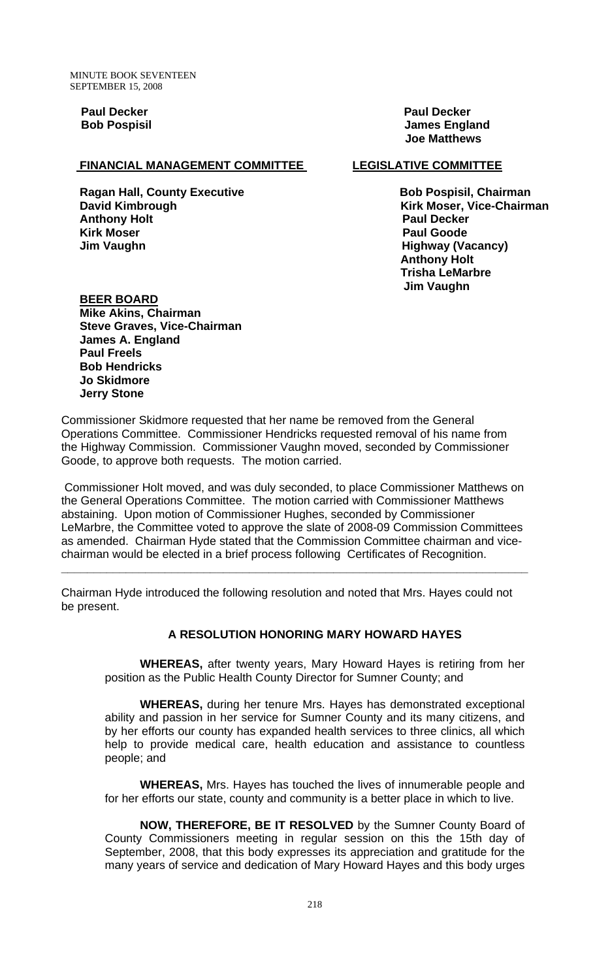**Paul Decker Paul Decker According to the Paul Decker Paul Decker** 

## **FINANCIAL MANAGEMENT COMMITTEE LEGISLATIVE COMMITTEE**

 **Ragan Hall, County Executive Community Constraints Rob Pospisil, Chairman David Kimbrough Kirk Moser, Vice-Chairman Anthony Holt Paul Decker Kirk Moser Paul Goode**  *Jim Vaughn* **And Alexandria Controllering Controllering Controllering Highway (Vacancy)** 

 **Bob Pospisil Contract Contract Contract Contract Contract Contract Contract Contract Contract Contract Contract Contract Contract Contract Contract Contract Contract Contract Contract Contract Contract Contract Contract Joe Matthews** 

 **Anthony Holt Trisha LeMarbre Jim Vaughn** 

 **BEER BOARD Mike Akins, Chairman Steve Graves, Vice-Chairman James A. England Paul Freels Bob Hendricks Jo Skidmore Jerry Stone** 

Commissioner Skidmore requested that her name be removed from the General Operations Committee. Commissioner Hendricks requested removal of his name from the Highway Commission. Commissioner Vaughn moved, seconded by Commissioner Goode, to approve both requests. The motion carried.

 Commissioner Holt moved, and was duly seconded, to place Commissioner Matthews on the General Operations Committee. The motion carried with Commissioner Matthews abstaining. Upon motion of Commissioner Hughes, seconded by Commissioner LeMarbre, the Committee voted to approve the slate of 2008-09 Commission Committees as amended. Chairman Hyde stated that the Commission Committee chairman and vicechairman would be elected in a brief process following Certificates of Recognition.

**\_\_\_\_\_\_\_\_\_\_\_\_\_\_\_\_\_\_\_\_\_\_\_\_\_\_\_\_\_\_\_\_\_\_\_\_\_\_\_\_\_\_\_\_\_\_\_\_\_\_\_\_\_\_\_\_\_\_\_\_\_\_\_\_\_\_\_\_\_\_\_\_** 

Chairman Hyde introduced the following resolution and noted that Mrs. Hayes could not be present.

### **A RESOLUTION HONORING MARY HOWARD HAYES**

 **WHEREAS,** after twenty years, Mary Howard Hayes is retiring from her position as the Public Health County Director for Sumner County; and

**WHEREAS,** during her tenure Mrs. Hayes has demonstrated exceptional ability and passion in her service for Sumner County and its many citizens, and by her efforts our county has expanded health services to three clinics, all which help to provide medical care, health education and assistance to countless people; and

**WHEREAS,** Mrs. Hayes has touched the lives of innumerable people and for her efforts our state, county and community is a better place in which to live.

**NOW, THEREFORE, BE IT RESOLVED** by the Sumner County Board of County Commissioners meeting in regular session on this the 15th day of September, 2008, that this body expresses its appreciation and gratitude for the many years of service and dedication of Mary Howard Hayes and this body urges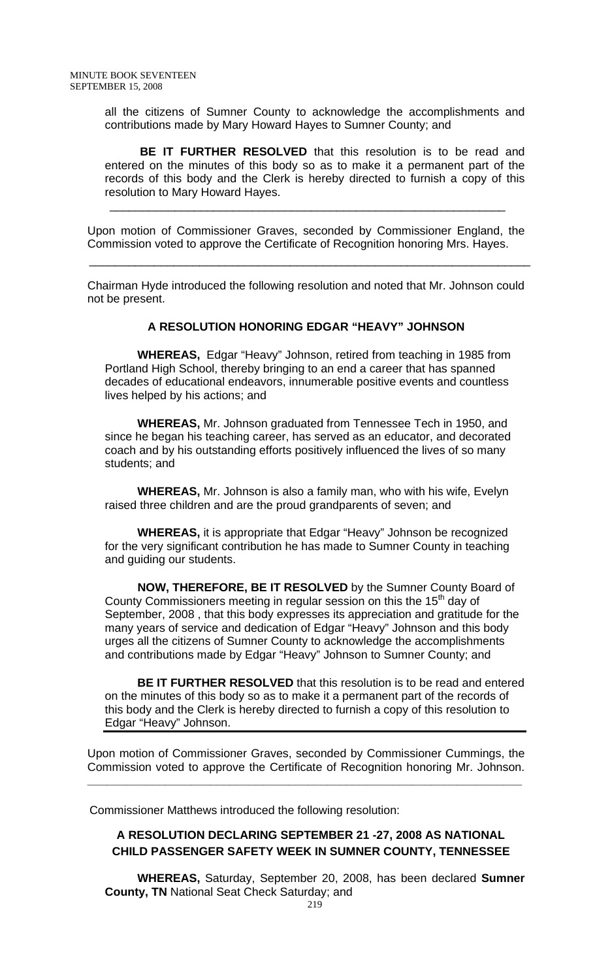all the citizens of Sumner County to acknowledge the accomplishments and contributions made by Mary Howard Hayes to Sumner County; and

**BE IT FURTHER RESOLVED** that this resolution is to be read and entered on the minutes of this body so as to make it a permanent part of the records of this body and the Clerk is hereby directed to furnish a copy of this resolution to Mary Howard Hayes.

Upon motion of Commissioner Graves, seconded by Commissioner England, the Commission voted to approve the Certificate of Recognition honoring Mrs. Hayes.

 $\overline{\phantom{a}}$  ,  $\overline{\phantom{a}}$  ,  $\overline{\phantom{a}}$  ,  $\overline{\phantom{a}}$  ,  $\overline{\phantom{a}}$  ,  $\overline{\phantom{a}}$  ,  $\overline{\phantom{a}}$  ,  $\overline{\phantom{a}}$  ,  $\overline{\phantom{a}}$  ,  $\overline{\phantom{a}}$  ,  $\overline{\phantom{a}}$  ,  $\overline{\phantom{a}}$  ,  $\overline{\phantom{a}}$  ,  $\overline{\phantom{a}}$  ,  $\overline{\phantom{a}}$  ,  $\overline{\phantom{a}}$ 

 $\frac{1}{\sqrt{2\pi}}$  ,  $\frac{1}{\sqrt{2\pi}}$  ,  $\frac{1}{\sqrt{2\pi}}$  ,  $\frac{1}{\sqrt{2\pi}}$  ,  $\frac{1}{\sqrt{2\pi}}$  ,  $\frac{1}{\sqrt{2\pi}}$  ,  $\frac{1}{\sqrt{2\pi}}$  ,  $\frac{1}{\sqrt{2\pi}}$  ,  $\frac{1}{\sqrt{2\pi}}$  ,  $\frac{1}{\sqrt{2\pi}}$  ,  $\frac{1}{\sqrt{2\pi}}$  ,  $\frac{1}{\sqrt{2\pi}}$  ,  $\frac{1}{\sqrt{2\pi}}$  ,

Chairman Hyde introduced the following resolution and noted that Mr. Johnson could not be present.

### **A RESOLUTION HONORING EDGAR "HEAVY" JOHNSON**

 **WHEREAS,** Edgar "Heavy" Johnson, retired from teaching in 1985 from Portland High School, thereby bringing to an end a career that has spanned decades of educational endeavors, innumerable positive events and countless lives helped by his actions; and

 **WHEREAS,** Mr. Johnson graduated from Tennessee Tech in 1950, and since he began his teaching career, has served as an educator, and decorated coach and by his outstanding efforts positively influenced the lives of so many students; and

 **WHEREAS,** Mr. Johnson is also a family man, who with his wife, Evelyn raised three children and are the proud grandparents of seven; and

 **WHEREAS,** it is appropriate that Edgar "Heavy" Johnson be recognized for the very significant contribution he has made to Sumner County in teaching and guiding our students.

 **NOW, THEREFORE, BE IT RESOLVED** by the Sumner County Board of County Commissioners meeting in regular session on this the 15<sup>th</sup> day of September, 2008 , that this body expresses its appreciation and gratitude for the many years of service and dedication of Edgar "Heavy" Johnson and this body urges all the citizens of Sumner County to acknowledge the accomplishments and contributions made by Edgar "Heavy" Johnson to Sumner County; and

 **BE IT FURTHER RESOLVED** that this resolution is to be read and entered on the minutes of this body so as to make it a permanent part of the records of this body and the Clerk is hereby directed to furnish a copy of this resolution to Edgar "Heavy" Johnson.

Upon motion of Commissioner Graves, seconded by Commissioner Cummings, the Commission voted to approve the Certificate of Recognition honoring Mr. Johnson.

**\_\_\_\_\_\_\_\_\_\_\_\_\_\_\_\_\_\_\_\_\_\_\_\_\_\_\_\_\_\_\_\_\_\_\_\_\_\_\_\_\_\_\_\_\_\_\_\_\_\_\_\_\_\_\_\_\_\_\_\_\_\_\_\_\_\_\_** 

Commissioner Matthews introduced the following resolution:

# **A RESOLUTION DECLARING SEPTEMBER 21 -27, 2008 AS NATIONAL CHILD PASSENGER SAFETY WEEK IN SUMNER COUNTY, TENNESSEE**

 **WHEREAS,** Saturday, September 20, 2008, has been declared **Sumner County, TN** National Seat Check Saturday; and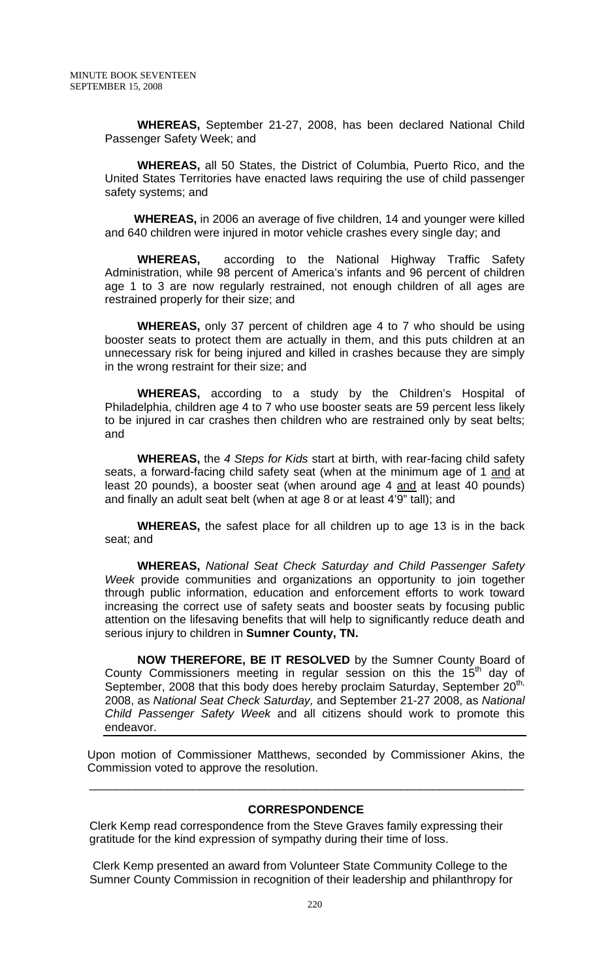**WHEREAS,** September 21-27, 2008, has been declared National Child Passenger Safety Week; and

 **WHEREAS,** all 50 States, the District of Columbia, Puerto Rico, and the United States Territories have enacted laws requiring the use of child passenger safety systems; and

 **WHEREAS,** in 2006 an average of five children, 14 and younger were killed and 640 children were injured in motor vehicle crashes every single day; and

 **WHEREAS,** according to the National Highway Traffic Safety Administration, while 98 percent of America's infants and 96 percent of children age 1 to 3 are now regularly restrained, not enough children of all ages are restrained properly for their size; and

 **WHEREAS,** only 37 percent of children age 4 to 7 who should be using booster seats to protect them are actually in them, and this puts children at an unnecessary risk for being injured and killed in crashes because they are simply in the wrong restraint for their size; and

 **WHEREAS,** according to a study by the Children's Hospital of Philadelphia, children age 4 to 7 who use booster seats are 59 percent less likely to be injured in car crashes then children who are restrained only by seat belts; and

 **WHEREAS,** the *4 Steps for Kids* start at birth, with rear-facing child safety seats, a forward-facing child safety seat (when at the minimum age of 1 and at least 20 pounds), a booster seat (when around age 4 and at least 40 pounds) and finally an adult seat belt (when at age 8 or at least 4'9" tall); and

 **WHEREAS,** the safest place for all children up to age 13 is in the back seat; and

 **WHEREAS,** *National Seat Check Saturday and Child Passenger Safety Week* provide communities and organizations an opportunity to join together through public information, education and enforcement efforts to work toward increasing the correct use of safety seats and booster seats by focusing public attention on the lifesaving benefits that will help to significantly reduce death and serious injury to children in **Sumner County, TN.** 

 **NOW THEREFORE, BE IT RESOLVED** by the Sumner County Board of County Commissioners meeting in regular session on this the  $15<sup>th</sup>$  day of September, 2008 that this body does hereby proclaim Saturday, September 20<sup>th,</sup> 2008, as *National Seat Check Saturday,* and September 21-27 2008, as *National Child Passenger Safety Week* and all citizens should work to promote this endeavor.

Upon motion of Commissioner Matthews, seconded by Commissioner Akins, the Commission voted to approve the resolution.

### **CORRESPONDENCE**

 Clerk Kemp read correspondence from the Steve Graves family expressing their gratitude for the kind expression of sympathy during their time of loss.

 $\overline{\phantom{a}}$  , and the contribution of the contribution of the contribution of the contribution of the contribution of the contribution of the contribution of the contribution of the contribution of the contribution of the

 Clerk Kemp presented an award from Volunteer State Community College to the Sumner County Commission in recognition of their leadership and philanthropy for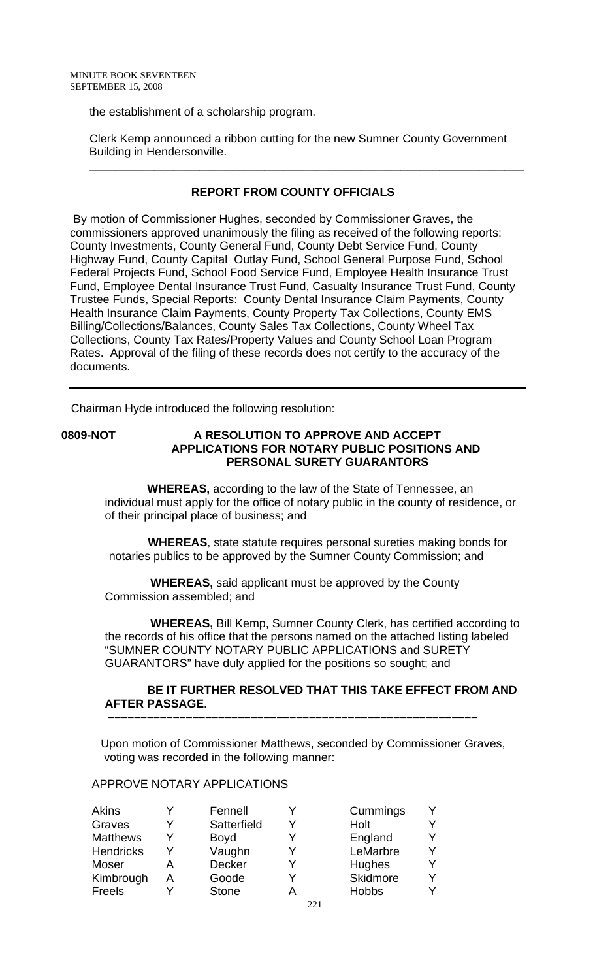the establishment of a scholarship program.

 Clerk Kemp announced a ribbon cutting for the new Sumner County Government Building in Hendersonville.

 **\_\_\_\_\_\_\_\_\_\_\_\_\_\_\_\_\_\_\_\_\_\_\_\_\_\_\_\_\_\_\_\_\_\_\_\_\_\_\_\_\_\_\_\_\_\_\_\_\_\_\_\_\_\_\_\_\_\_\_\_\_\_\_\_\_\_\_** 

# **REPORT FROM COUNTY OFFICIALS**

 By motion of Commissioner Hughes, seconded by Commissioner Graves, the commissioners approved unanimously the filing as received of the following reports: County Investments, County General Fund, County Debt Service Fund, County Highway Fund, County Capital Outlay Fund, School General Purpose Fund, School Federal Projects Fund, School Food Service Fund, Employee Health Insurance Trust Fund, Employee Dental Insurance Trust Fund, Casualty Insurance Trust Fund, County Trustee Funds, Special Reports: County Dental Insurance Claim Payments, County Health Insurance Claim Payments, County Property Tax Collections, County EMS Billing/Collections/Balances, County Sales Tax Collections, County Wheel Tax Collections, County Tax Rates/Property Values and County School Loan Program Rates. Approval of the filing of these records does not certify to the accuracy of the documents.

Chairman Hyde introduced the following resolution:

## **0809-NOT A RESOLUTION TO APPROVE AND ACCEPT APPLICATIONS FOR NOTARY PUBLIC POSITIONS AND PERSONAL SURETY GUARANTORS**

 **WHEREAS,** according to the law of the State of Tennessee, an individual must apply for the office of notary public in the county of residence, or of their principal place of business; and

 **WHEREAS**, state statute requires personal sureties making bonds for notaries publics to be approved by the Sumner County Commission; and

 **WHEREAS,** said applicant must be approved by the County Commission assembled; and

 **WHEREAS,** Bill Kemp, Sumner County Clerk, has certified according to the records of his office that the persons named on the attached listing labeled "SUMNER COUNTY NOTARY PUBLIC APPLICATIONS and SURETY GUARANTORS" have duly applied for the positions so sought; and

## **BE IT FURTHER RESOLVED THAT THIS TAKE EFFECT FROM AND AFTER PASSAGE.**

Upon motion of Commissioner Matthews, seconded by Commissioner Graves, voting was recorded in the following manner:

 **–––––––––––––––––––––––––––––––––––––––––––––––––––––––––**

## APPROVE NOTARY APPLICATIONS

| Akins            |   | Fennell       |     | Cummings     |  |
|------------------|---|---------------|-----|--------------|--|
| Graves           |   | Satterfield   |     | Holt         |  |
| <b>Matthews</b>  |   | <b>Boyd</b>   |     | England      |  |
| <b>Hendricks</b> |   | Vaughn        |     | LeMarbre     |  |
| Moser            |   | <b>Decker</b> |     | Hughes       |  |
| Kimbrough        | А | Goode         |     | Skidmore     |  |
| Freels           |   | <b>Stone</b>  |     | <b>Hobbs</b> |  |
|                  |   |               | --- |              |  |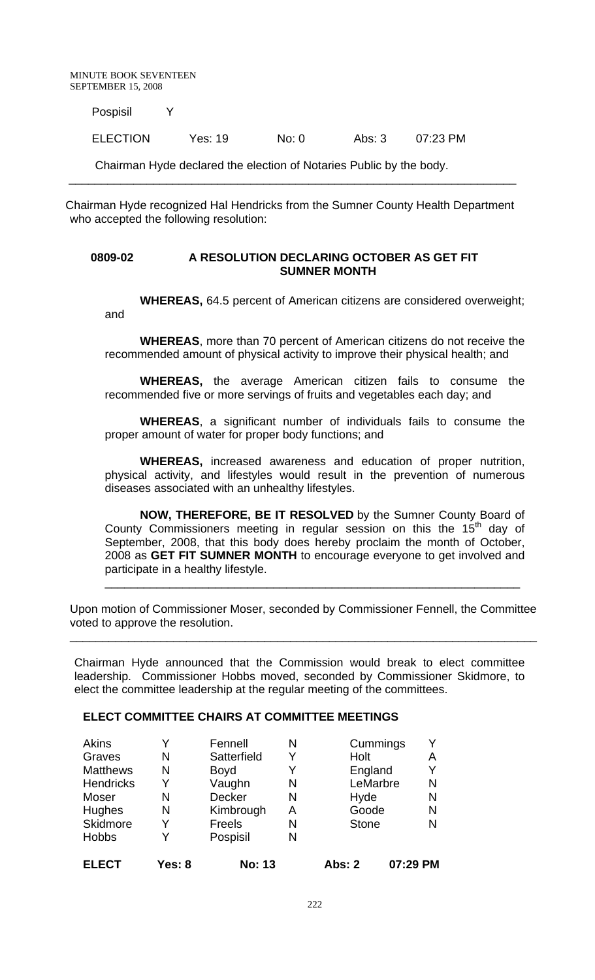MINUTE BOOK SEVENTEEN SEPTEMBER 15, 2008

Pospisil Y

ELECTION Yes: 19 No: 0 Abs: 3 07:23 PM

Chairman Hyde declared the election of Notaries Public by the body.

Chairman Hyde recognized Hal Hendricks from the Sumner County Health Department who accepted the following resolution:

\_\_\_\_\_\_\_\_\_\_\_\_\_\_\_\_\_\_\_\_\_\_\_\_\_\_\_\_\_\_\_\_\_\_\_\_\_\_\_\_\_\_\_\_\_\_\_\_\_\_\_\_\_\_\_\_\_\_\_\_\_\_\_\_\_\_\_\_\_

#### **0809-02 A RESOLUTION DECLARING OCTOBER AS GET FIT SUMNER MONTH**

 **WHEREAS,** 64.5 percent of American citizens are considered overweight; and

**WHEREAS**, more than 70 percent of American citizens do not receive the recommended amount of physical activity to improve their physical health; and

**WHEREAS,** the average American citizen fails to consume the recommended five or more servings of fruits and vegetables each day; and

**WHEREAS**, a significant number of individuals fails to consume the proper amount of water for proper body functions; and

**WHEREAS,** increased awareness and education of proper nutrition, physical activity, and lifestyles would result in the prevention of numerous diseases associated with an unhealthy lifestyles.

**NOW, THEREFORE, BE IT RESOLVED** by the Sumner County Board of County Commissioners meeting in regular session on this the  $15<sup>th</sup>$  day of September, 2008, that this body does hereby proclaim the month of October, 2008 as **GET FIT SUMNER MONTH** to encourage everyone to get involved and participate in a healthy lifestyle.

\_\_\_\_\_\_\_\_\_\_\_\_\_\_\_\_\_\_\_\_\_\_\_\_\_\_\_\_\_\_\_\_\_\_\_\_\_\_\_\_\_\_\_\_\_\_\_\_\_\_\_\_\_\_\_\_\_\_\_\_\_\_\_\_

Upon motion of Commissioner Moser, seconded by Commissioner Fennell, the Committee voted to approve the resolution.

\_\_\_\_\_\_\_\_\_\_\_\_\_\_\_\_\_\_\_\_\_\_\_\_\_\_\_\_\_\_\_\_\_\_\_\_\_\_\_\_\_\_\_\_\_\_\_\_\_\_\_\_\_\_\_\_\_\_\_\_\_\_\_\_\_\_\_\_\_\_\_\_

Chairman Hyde announced that the Commission would break to elect committee leadership. Commissioner Hobbs moved, seconded by Commissioner Skidmore, to elect the committee leadership at the regular meeting of the committees.

#### **ELECT COMMITTEE CHAIRS AT COMMITTEE MEETINGS**

| Graves<br><b>Matthews</b><br><b>Hendricks</b> | N<br>N<br>Y | Satterfield<br><b>Boyd</b><br>Vaughn | Y<br>Y<br>N | Holt<br>England<br>LeMarbre | Α<br>Υ<br>N |
|-----------------------------------------------|-------------|--------------------------------------|-------------|-----------------------------|-------------|
| Moser                                         | N           | Decker                               | N           | Hyde<br>Goode               | N           |
| Hughes<br>Skidmore                            | N<br>Y      | Kimbrough<br><b>Freels</b>           | А<br>N      | <b>Stone</b>                | N<br>N      |
| <b>Hobbs</b>                                  | v           | Pospisil                             | N           |                             |             |
| <b>ELECT</b>                                  | Yes: 8      | <b>No: 13</b>                        |             | Abs: 2                      | 07:29 PM    |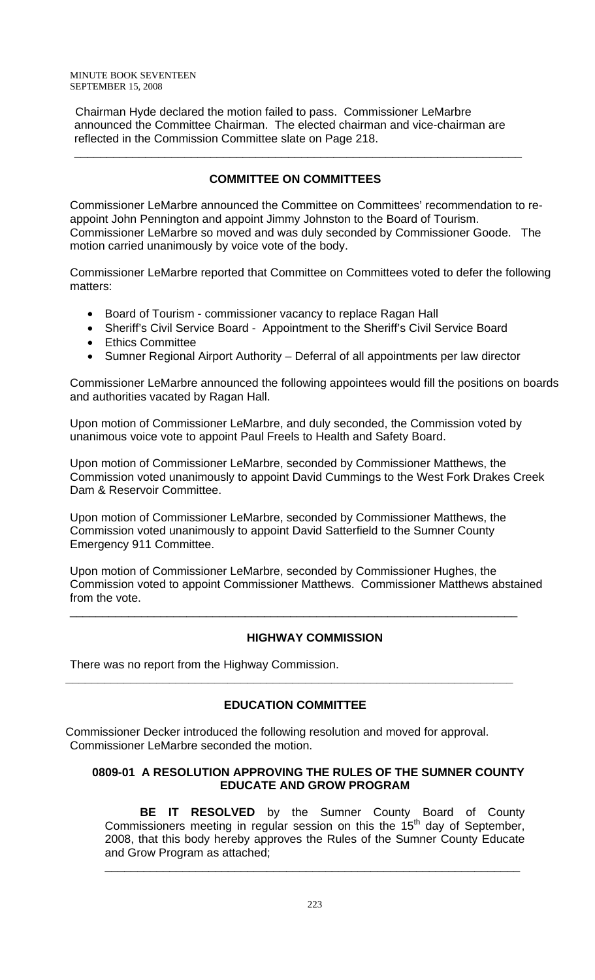Chairman Hyde declared the motion failed to pass. Commissioner LeMarbre announced the Committee Chairman. The elected chairman and vice-chairman are reflected in the Commission Committee slate on Page 218.

# **COMMITTEE ON COMMITTEES**

\_\_\_\_\_\_\_\_\_\_\_\_\_\_\_\_\_\_\_\_\_\_\_\_\_\_\_\_\_\_\_\_\_\_\_\_\_\_\_\_\_\_\_\_\_\_\_\_\_\_\_\_\_\_\_\_\_\_\_\_\_\_\_\_\_\_\_\_\_

Commissioner LeMarbre announced the Committee on Committees' recommendation to reappoint John Pennington and appoint Jimmy Johnston to the Board of Tourism. Commissioner LeMarbre so moved and was duly seconded by Commissioner Goode. The motion carried unanimously by voice vote of the body.

Commissioner LeMarbre reported that Committee on Committees voted to defer the following matters:

- Board of Tourism commissioner vacancy to replace Ragan Hall
- Sheriff's Civil Service Board Appointment to the Sheriff's Civil Service Board
- Ethics Committee
- Sumner Regional Airport Authority Deferral of all appointments per law director

Commissioner LeMarbre announced the following appointees would fill the positions on boards and authorities vacated by Ragan Hall.

Upon motion of Commissioner LeMarbre, and duly seconded, the Commission voted by unanimous voice vote to appoint Paul Freels to Health and Safety Board.

Upon motion of Commissioner LeMarbre, seconded by Commissioner Matthews, the Commission voted unanimously to appoint David Cummings to the West Fork Drakes Creek Dam & Reservoir Committee.

Upon motion of Commissioner LeMarbre, seconded by Commissioner Matthews, the Commission voted unanimously to appoint David Satterfield to the Sumner County Emergency 911 Committee.

Upon motion of Commissioner LeMarbre, seconded by Commissioner Hughes, the Commission voted to appoint Commissioner Matthews. Commissioner Matthews abstained from the vote.

\_\_\_\_\_\_\_\_\_\_\_\_\_\_\_\_\_\_\_\_\_\_\_\_\_\_\_\_\_\_\_\_\_\_\_\_\_\_\_\_\_\_\_\_\_\_\_\_\_\_\_\_\_\_\_\_\_\_\_\_\_\_\_\_\_\_\_\_\_

# **HIGHWAY COMMISSION**

There was no report from the Highway Commission.

# **EDUCATION COMMITTEE**

**\_\_\_\_\_\_\_\_\_\_\_\_\_\_\_\_\_\_\_\_\_\_\_\_\_\_\_\_\_\_\_\_\_\_\_\_\_\_\_\_\_\_\_\_\_\_\_\_\_\_\_\_\_\_\_\_\_\_\_\_\_\_\_\_\_\_\_\_\_** 

Commissioner Decker introduced the following resolution and moved for approval. Commissioner LeMarbre seconded the motion.

## **0809-01 A RESOLUTION APPROVING THE RULES OF THE SUMNER COUNTY EDUCATE AND GROW PROGRAM**

 **BE IT RESOLVED** by the Sumner County Board of County Commissioners meeting in regular session on this the  $15<sup>th</sup>$  day of September, 2008, that this body hereby approves the Rules of the Sumner County Educate and Grow Program as attached;

\_\_\_\_\_\_\_\_\_\_\_\_\_\_\_\_\_\_\_\_\_\_\_\_\_\_\_\_\_\_\_\_\_\_\_\_\_\_\_\_\_\_\_\_\_\_\_\_\_\_\_\_\_\_\_\_\_\_\_\_\_\_\_\_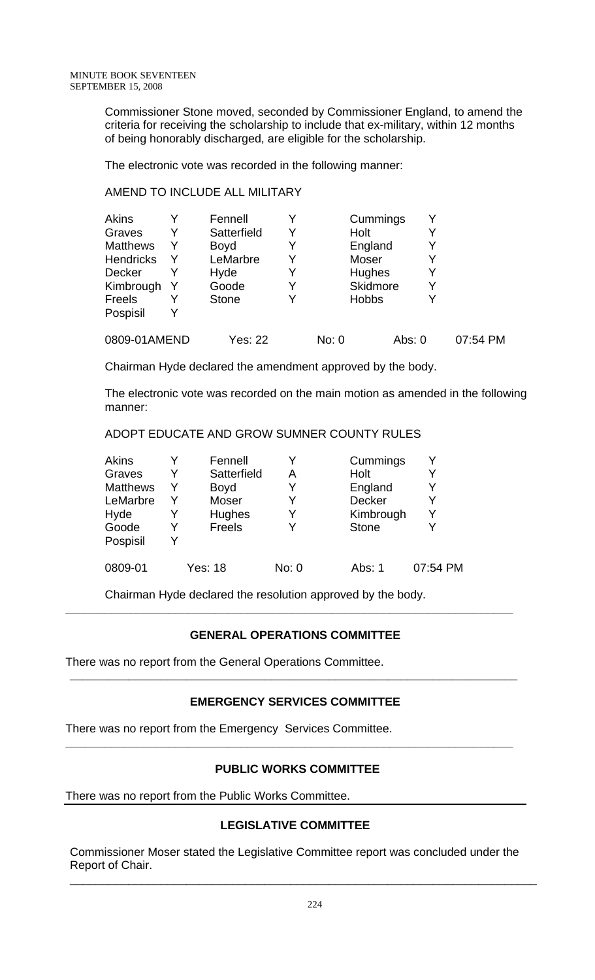Commissioner Stone moved, seconded by Commissioner England, to amend the criteria for receiving the scholarship to include that ex-military, within 12 months of being honorably discharged, are eligible for the scholarship.

The electronic vote was recorded in the following manner:

## AMEND TO INCLUDE ALL MILITARY

| Akins            |   | Fennell      |   |       | Cummings        |          |   |          |
|------------------|---|--------------|---|-------|-----------------|----------|---|----------|
| Graves           | Y | Satterfield  | Y |       | Holt            |          |   |          |
| <b>Matthews</b>  | Y | <b>Boyd</b>  | Y |       | England         |          |   |          |
| <b>Hendricks</b> |   | LeMarbre     | Y |       | Moser           |          |   |          |
| Decker           |   | Hyde         | Y |       | Hughes          |          |   |          |
| Kimbrough        |   | Goode        | Y |       | <b>Skidmore</b> |          | Υ |          |
| Freels           |   | <b>Stone</b> | Y |       | <b>Hobbs</b>    |          |   |          |
| Pospisil         |   |              |   |       |                 |          |   |          |
| 0809-01AMEND     |   | Yes: 22      |   | No: 0 |                 | Abs: $0$ |   | 07:54 PM |

Chairman Hyde declared the amendment approved by the body.

The electronic vote was recorded on the main motion as amended in the following manner:

ADOPT EDUCATE AND GROW SUMNER COUNTY RULES

| Akins           |   | Fennell        |       | Cummings      |          |
|-----------------|---|----------------|-------|---------------|----------|
| Graves          | Y | Satterfield    | А     | Holt          |          |
| <b>Matthews</b> | Y | <b>Boyd</b>    |       | England       | Y        |
| LeMarbre        | Y | Moser          |       | <b>Decker</b> | Y        |
| Hyde            |   | Hughes         |       | Kimbrough     | Y        |
| Goode           | v | <b>Freels</b>  |       | <b>Stone</b>  |          |
| Pospisil        | v |                |       |               |          |
| 0809-01         |   | <b>Yes: 18</b> | No: 0 | Abs: 1        | 07:54 PM |

Chairman Hyde declared the resolution approved by the body.

# **GENERAL OPERATIONS COMMITTEE**

**\_\_\_\_\_\_\_\_\_\_\_\_\_\_\_\_\_\_\_\_\_\_\_\_\_\_\_\_\_\_\_\_\_\_\_\_\_\_\_\_\_\_\_\_\_\_\_\_\_\_\_\_\_\_\_\_\_\_\_\_\_\_\_\_\_\_\_\_\_** 

There was no report from the General Operations Committee.

# **EMERGENCY SERVICES COMMITTEE**

**\_\_\_\_\_\_\_\_\_\_\_\_\_\_\_\_\_\_\_\_\_\_\_\_\_\_\_\_\_\_\_\_\_\_\_\_\_\_\_\_\_\_\_\_\_\_\_\_\_\_\_\_\_\_\_\_\_\_\_\_\_\_\_\_\_\_\_\_\_** 

There was no report from the Emergency Services Committee.

# **PUBLIC WORKS COMMITTEE**

**\_\_\_\_\_\_\_\_\_\_\_\_\_\_\_\_\_\_\_\_\_\_\_\_\_\_\_\_\_\_\_\_\_\_\_\_\_\_\_\_\_\_\_\_\_\_\_\_\_\_\_\_\_\_\_\_\_\_\_\_\_\_\_\_\_\_\_\_\_** 

There was no report from the Public Works Committee.

# **LEGISLATIVE COMMITTEE**

Commissioner Moser stated the Legislative Committee report was concluded under the Report of Chair.

\_\_\_\_\_\_\_\_\_\_\_\_\_\_\_\_\_\_\_\_\_\_\_\_\_\_\_\_\_\_\_\_\_\_\_\_\_\_\_\_\_\_\_\_\_\_\_\_\_\_\_\_\_\_\_\_\_\_\_\_\_\_\_\_\_\_\_\_\_\_\_\_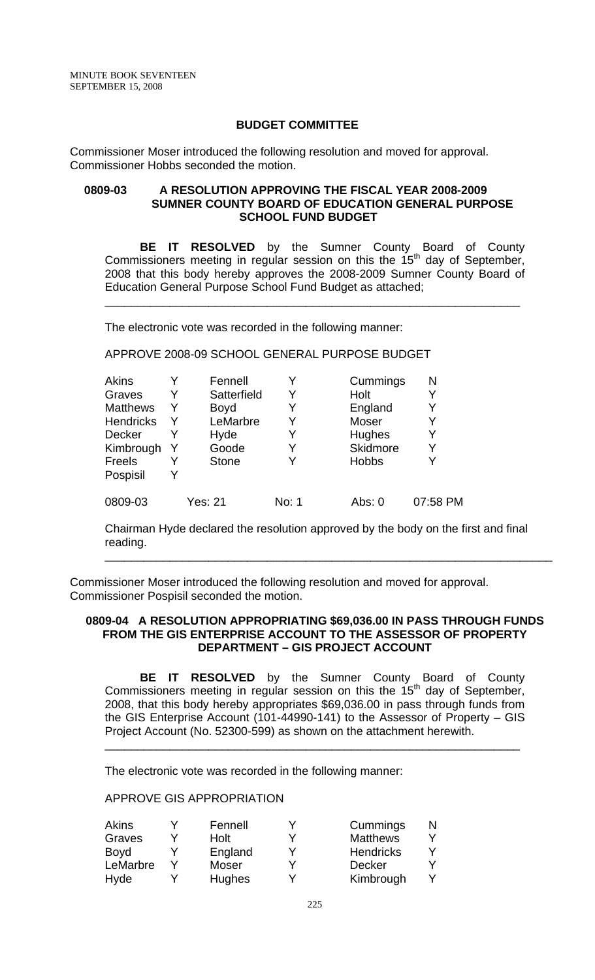### **BUDGET COMMITTEE**

Commissioner Moser introduced the following resolution and moved for approval. Commissioner Hobbs seconded the motion.

#### **0809-03 A RESOLUTION APPROVING THE FISCAL YEAR 2008-2009 SUMNER COUNTY BOARD OF EDUCATION GENERAL PURPOSE SCHOOL FUND BUDGET**

 **BE IT RESOLVED** by the Sumner County Board of County Commissioners meeting in regular session on this the 15<sup>th</sup> day of September, 2008 that this body hereby approves the 2008-2009 Sumner County Board of Education General Purpose School Fund Budget as attached;

\_\_\_\_\_\_\_\_\_\_\_\_\_\_\_\_\_\_\_\_\_\_\_\_\_\_\_\_\_\_\_\_\_\_\_\_\_\_\_\_\_\_\_\_\_\_\_\_\_\_\_\_\_\_\_\_\_\_\_\_\_\_\_\_

The electronic vote was recorded in the following manner:

APPROVE 2008-09 SCHOOL GENERAL PURPOSE BUDGET

|   |              |                                |              | N                             |
|---|--------------|--------------------------------|--------------|-------------------------------|
| Y | Satterfield  | Y                              | Holt         | Y                             |
| Y |              | Y                              |              | Y                             |
| Y | LeMarbre     | Y                              | <b>Moser</b> | Y                             |
|   |              | Y                              |              | Y                             |
|   | Goode        | Y                              | Skidmore     | Y                             |
|   | <b>Stone</b> | Y                              | <b>Hobbs</b> | Y                             |
|   |              |                                |              |                               |
|   | Yes: 21      | No: 1                          | Abs: 0       | 07:58 PM                      |
|   |              | Fennell<br><b>Boyd</b><br>Hyde |              | Cummings<br>England<br>Hughes |

Chairman Hyde declared the resolution approved by the body on the first and final reading. \_\_\_\_\_\_\_\_\_\_\_\_\_\_\_\_\_\_\_\_\_\_\_\_\_\_\_\_\_\_\_\_\_\_\_\_\_\_\_\_\_\_\_\_\_\_\_\_\_\_\_\_\_\_\_\_\_\_\_\_\_\_\_\_\_\_\_\_\_

Commissioner Moser introduced the following resolution and moved for approval. Commissioner Pospisil seconded the motion.

#### **0809-04 A RESOLUTION APPROPRIATING \$69,036.00 IN PASS THROUGH FUNDS FROM THE GIS ENTERPRISE ACCOUNT TO THE ASSESSOR OF PROPERTY DEPARTMENT – GIS PROJECT ACCOUNT**

**BE IT RESOLVED** by the Sumner County Board of County Commissioners meeting in regular session on this the  $15<sup>th</sup>$  day of September, 2008, that this body hereby appropriates \$69,036.00 in pass through funds from the GIS Enterprise Account (101-44990-141) to the Assessor of Property – GIS Project Account (No. 52300-599) as shown on the attachment herewith.

\_\_\_\_\_\_\_\_\_\_\_\_\_\_\_\_\_\_\_\_\_\_\_\_\_\_\_\_\_\_\_\_\_\_\_\_\_\_\_\_\_\_\_\_\_\_\_\_\_\_\_\_\_\_\_\_\_\_\_\_\_\_\_\_

The electronic vote was recorded in the following manner:

APPROVE GIS APPROPRIATION

| Akins    | Fennell      | Cummings         |  |
|----------|--------------|------------------|--|
| Graves   | Holt         | <b>Matthews</b>  |  |
| Boyd     | England      | <b>Hendricks</b> |  |
| LeMarbre | <b>Moser</b> | <b>Decker</b>    |  |
| Hyde     | Hughes       | Kimbrough        |  |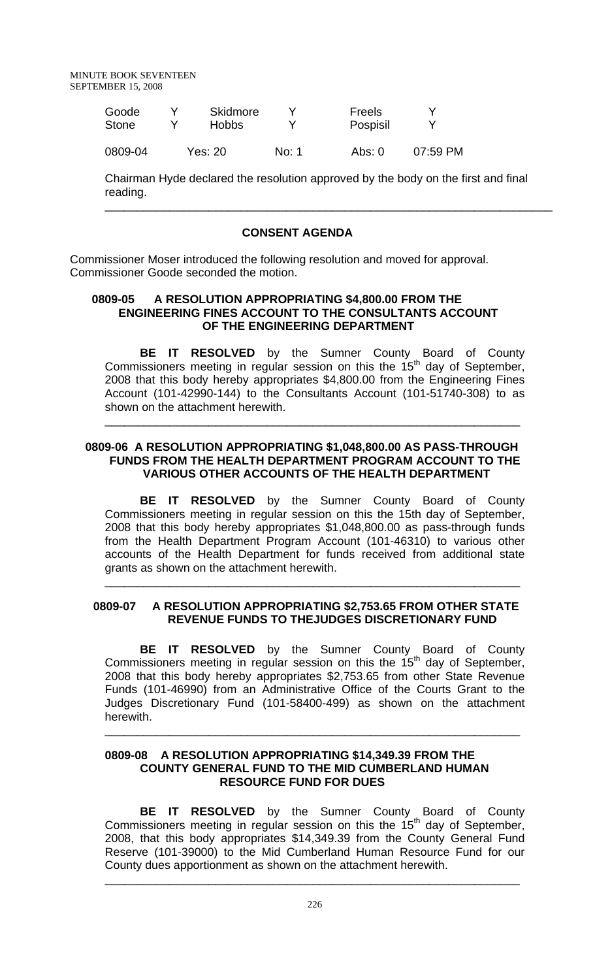| Goode        | Skidmore |       | Freels   |          |
|--------------|----------|-------|----------|----------|
| <b>Stone</b> | Hobbs.   |       | Pospisil |          |
| 0809-04      | Yes: 20  | No: 1 | Abs: 0   | 07:59 PM |

Chairman Hyde declared the resolution approved by the body on the first and final reading.

\_\_\_\_\_\_\_\_\_\_\_\_\_\_\_\_\_\_\_\_\_\_\_\_\_\_\_\_\_\_\_\_\_\_\_\_\_\_\_\_\_\_\_\_\_\_\_\_\_\_\_\_\_\_\_\_\_\_\_\_\_\_\_\_\_\_\_\_\_

## **CONSENT AGENDA**

Commissioner Moser introduced the following resolution and moved for approval. Commissioner Goode seconded the motion.

## **0809-05 A RESOLUTION APPROPRIATING \$4,800.00 FROM THE ENGINEERING FINES ACCOUNT TO THE CONSULTANTS ACCOUNT OF THE ENGINEERING DEPARTMENT**

**BE IT RESOLVED** by the Sumner County Board of County Commissioners meeting in regular session on this the  $15<sup>th</sup>$  day of September, 2008 that this body hereby appropriates \$4,800.00 from the Engineering Fines Account (101-42990-144) to the Consultants Account (101-51740-308) to as shown on the attachment herewith.

\_\_\_\_\_\_\_\_\_\_\_\_\_\_\_\_\_\_\_\_\_\_\_\_\_\_\_\_\_\_\_\_\_\_\_\_\_\_\_\_\_\_\_\_\_\_\_\_\_\_\_\_\_\_\_\_\_\_\_\_\_\_\_\_

## **0809-06 A RESOLUTION APPROPRIATING \$1,048,800.00 AS PASS-THROUGH FUNDS FROM THE HEALTH DEPARTMENT PROGRAM ACCOUNT TO THE VARIOUS OTHER ACCOUNTS OF THE HEALTH DEPARTMENT**

 **BE IT RESOLVED** by the Sumner County Board of County Commissioners meeting in regular session on this the 15th day of September, 2008 that this body hereby appropriates \$1,048,800.00 as pass-through funds from the Health Department Program Account (101-46310) to various other accounts of the Health Department for funds received from additional state grants as shown on the attachment herewith.

\_\_\_\_\_\_\_\_\_\_\_\_\_\_\_\_\_\_\_\_\_\_\_\_\_\_\_\_\_\_\_\_\_\_\_\_\_\_\_\_\_\_\_\_\_\_\_\_\_\_\_\_\_\_\_\_\_\_\_\_\_\_\_\_

# **0809-07 A RESOLUTION APPROPRIATING \$2,753.65 FROM OTHER STATE REVENUE FUNDS TO THEJUDGES DISCRETIONARY FUND**

 **BE IT RESOLVED** by the Sumner County Board of County Commissioners meeting in regular session on this the  $15<sup>th</sup>$  day of September, 2008 that this body hereby appropriates \$2,753.65 from other State Revenue Funds (101-46990) from an Administrative Office of the Courts Grant to the Judges Discretionary Fund (101-58400-499) as shown on the attachment herewith.

\_\_\_\_\_\_\_\_\_\_\_\_\_\_\_\_\_\_\_\_\_\_\_\_\_\_\_\_\_\_\_\_\_\_\_\_\_\_\_\_\_\_\_\_\_\_\_\_\_\_\_\_\_\_\_\_\_\_\_\_\_\_\_\_

### **0809-08 A RESOLUTION APPROPRIATING \$14,349.39 FROM THE COUNTY GENERAL FUND TO THE MID CUMBERLAND HUMAN RESOURCE FUND FOR DUES**

**BE IT RESOLVED** by the Sumner County Board of County Commissioners meeting in regular session on this the  $15<sup>th</sup>$  day of September, 2008, that this body appropriates \$14,349.39 from the County General Fund Reserve (101-39000) to the Mid Cumberland Human Resource Fund for our County dues apportionment as shown on the attachment herewith.

\_\_\_\_\_\_\_\_\_\_\_\_\_\_\_\_\_\_\_\_\_\_\_\_\_\_\_\_\_\_\_\_\_\_\_\_\_\_\_\_\_\_\_\_\_\_\_\_\_\_\_\_\_\_\_\_\_\_\_\_\_\_\_\_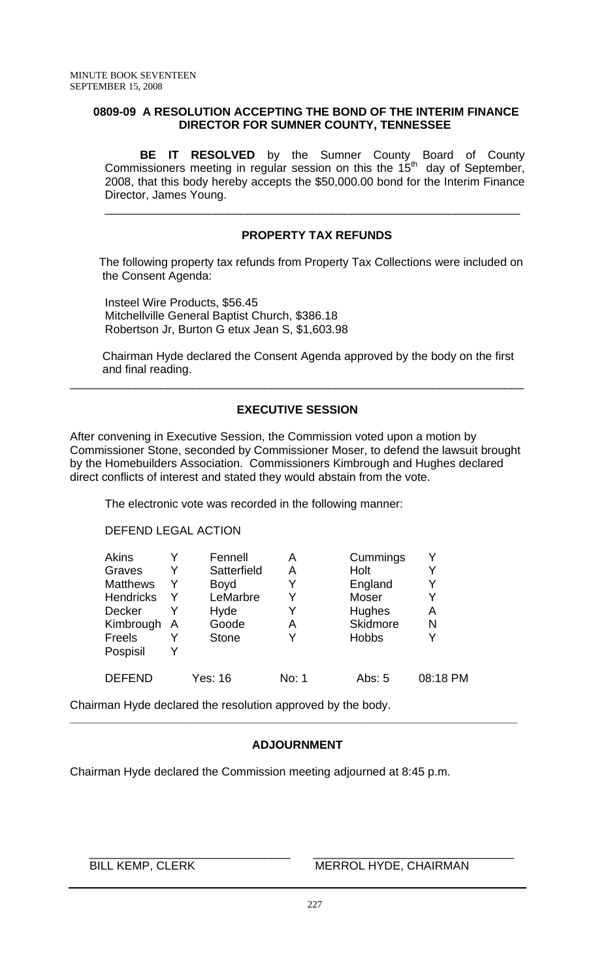## **0809-09 A RESOLUTION ACCEPTING THE BOND OF THE INTERIM FINANCE DIRECTOR FOR SUMNER COUNTY, TENNESSEE**

**BE IT RESOLVED** by the Sumner County Board of County Commissioners meeting in regular session on this the  $15<sup>th</sup>$  day of September, 2008, that this body hereby accepts the \$50,000.00 bond for the Interim Finance Director, James Young.

## **PROPERTY TAX REFUNDS**

\_\_\_\_\_\_\_\_\_\_\_\_\_\_\_\_\_\_\_\_\_\_\_\_\_\_\_\_\_\_\_\_\_\_\_\_\_\_\_\_\_\_\_\_\_\_\_\_\_\_\_\_\_\_\_\_\_\_\_\_\_\_\_\_

 The following property tax refunds from Property Tax Collections were included on the Consent Agenda:

 Insteel Wire Products, \$56.45 Mitchellville General Baptist Church, \$386.18 Robertson Jr, Burton G etux Jean S, \$1,603.98

 Chairman Hyde declared the Consent Agenda approved by the body on the first and final reading.

# **EXECUTIVE SESSION**

\_\_\_\_\_\_\_\_\_\_\_\_\_\_\_\_\_\_\_\_\_\_\_\_\_\_\_\_\_\_\_\_\_\_\_\_\_\_\_\_\_\_\_\_\_\_\_\_\_\_\_\_\_\_\_\_\_\_\_\_\_\_\_\_\_\_\_\_\_\_

After convening in Executive Session, the Commission voted upon a motion by Commissioner Stone, seconded by Commissioner Moser, to defend the lawsuit brought by the Homebuilders Association. Commissioners Kimbrough and Hughes declared direct conflicts of interest and stated they would abstain from the vote.

The electronic vote was recorded in the following manner:

### DEFEND LEGAL ACTION

| <b>Akins</b>     |                | Fennell      | Α     | Cummings     |          |
|------------------|----------------|--------------|-------|--------------|----------|
| Graves           | Y              | Satterfield  | Α     | Holt         |          |
| <b>Matthews</b>  | Y              | <b>Boyd</b>  | Y     | England      |          |
| <b>Hendricks</b> | Y              | LeMarbre     | Y     | Moser        |          |
| <b>Decker</b>    |                | Hyde         | Y     | Hughes       | Α        |
| Kimbrough        | $\overline{A}$ | Goode        | Α     | Skidmore     | N        |
| Freels           |                | <b>Stone</b> | Y     | <b>Hobbs</b> |          |
| Pospisil         |                |              |       |              |          |
| <b>DEFEND</b>    |                | Yes: 16      | No: 1 | Abs: 5       | 08:18 PM |

Chairman Hyde declared the resolution approved by the body.

# **ADJOURNMENT**

 $\frac{1}{2}$  ,  $\frac{1}{2}$  ,  $\frac{1}{2}$  ,  $\frac{1}{2}$  ,  $\frac{1}{2}$  ,  $\frac{1}{2}$  ,  $\frac{1}{2}$  ,  $\frac{1}{2}$  ,  $\frac{1}{2}$  ,  $\frac{1}{2}$  ,  $\frac{1}{2}$  ,  $\frac{1}{2}$  ,  $\frac{1}{2}$  ,  $\frac{1}{2}$  ,  $\frac{1}{2}$  ,  $\frac{1}{2}$  ,  $\frac{1}{2}$  ,  $\frac{1}{2}$  ,  $\frac{1$ 

**\_\_\_\_\_\_\_\_\_\_\_\_\_\_\_\_\_\_\_\_\_\_\_\_\_\_\_\_\_\_\_\_\_\_\_\_\_\_\_\_\_\_\_\_\_\_\_\_\_\_\_\_\_\_\_\_\_\_\_\_\_\_\_\_\_\_\_\_\_** 

Chairman Hyde declared the Commission meeting adjourned at 8:45 p.m.

BILL KEMP, CLERK MERROL HYDE, CHAIRMAN